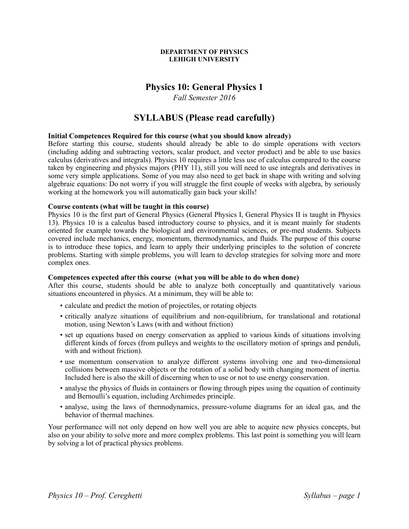#### **DEPARTMENT OF PHYSICS LEHIGH UNIVERSITY**

# **Physics 10: General Physics 1**

*Fall Semester 2016*

# **SYLLABUS (Please read carefully)**

# **Initial Competences Required for this course (what you should know already)**

Before starting this course, students should already be able to do simple operations with vectors (including adding and subtracting vectors, scalar product, and vector product) and be able to use basics calculus (derivatives and integrals). Physics 10 requires a little less use of calculus compared to the course taken by engineering and physics majors (PHY 11), still you will need to use integrals and derivatives in some very simple applications. Some of you may also need to get back in shape with writing and solving algebraic equations: Do not worry if you will struggle the first couple of weeks with algebra, by seriously working at the homework you will automatically gain back your skills!

# **Course contents (what will be taught in this course)**

Physics 10 is the first part of General Physics (General Physics I, General Physics II is taught in Physics 13). Physics 10 is a calculus based introductory course to physics, and it is meant mainly for students oriented for example towards the biological and environmental sciences, or pre-med students. Subjects covered include mechanics, energy, momentum, thermodynamics, and fluids. The purpose of this course is to introduce these topics, and learn to apply their underlying principles to the solution of concrete problems. Starting with simple problems, you will learn to develop strategies for solving more and more complex ones.

#### **Competences expected after this course (what you will be able to do when done)**

After this course, students should be able to analyze both conceptually and quantitatively various situations encountered in physics. At a minimum, they will be able to:

- calculate and predict the motion of projectiles, or rotating objects
- critically analyze situations of equilibrium and non-equilibrium, for translational and rotational motion, using Newton's Laws (with and without friction)
- set up equations based on energy conservation as applied to various kinds of situations involving different kinds of forces (from pulleys and weights to the oscillatory motion of springs and penduli, with and without friction).
- use momentum conservation to analyze different systems involving one and two-dimensional collisions between massive objects or the rotation of a solid body with changing moment of inertia. Included here is also the skill of discerning when to use or not to use energy conservation.
- analyse the physics of fluids in containers or flowing through pipes using the equation of continuity and Bernoulli's equation, including Archimedes principle.
- analyse, using the laws of thermodynamics, pressure-volume diagrams for an ideal gas, and the behavior of thermal machines.

Your performance will not only depend on how well you are able to acquire new physics concepts, but also on your ability to solve more and more complex problems. This last point is something you will learn by solving a lot of practical physics problems.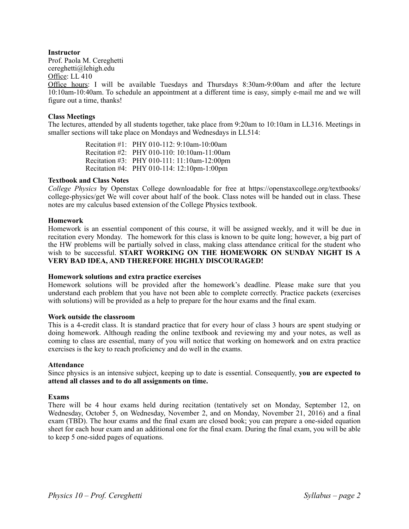# **Instructor**

Prof. Paola M. Cereghetti cereghetti@lehigh.edu

Office: LL 410

Office hours: I will be available Tuesdays and Thursdays 8:30am-9:00am and after the lecture 10:10am-10:40am. To schedule an appointment at a different time is easy, simply e-mail me and we will figure out a time, thanks!

# **Class Meetings**

The lectures, attended by all students together, take place from 9:20am to 10:10am in LL316. Meetings in smaller sections will take place on Mondays and Wednesdays in LL514:

> Recitation #1: PHY 010-112: 9:10am-10:00am Recitation #2: PHY 010-110: 10:10am-11:00am Recitation #3: PHY 010-111: 11:10am-12:00pm Recitation #4: PHY 010-114: 12:10pm-1:00pm

#### **Textbook and Class Notes**

*College Physics* by Openstax College downloadable for free at https://openstaxcollege.org/textbooks/ college-physics/get We will cover about half of the book. Class notes will be handed out in class. These notes are my calculus based extension of the College Physics textbook.

#### **Homework**

Homework is an essential component of this course, it will be assigned weekly, and it will be due in recitation every Monday. The homework for this class is known to be quite long; however, a big part of the HW problems will be partially solved in class, making class attendance critical for the student who wish to be successful. **START WORKING ON THE HOMEWORK ON SUNDAY NIGHT IS A VERY BAD IDEA, AND THEREFORE HIGHLY DISCOURAGED!**

#### **Homework solutions and extra practice exercises**

Homework solutions will be provided after the homework's deadline. Please make sure that you understand each problem that you have not been able to complete correctly. Practice packets (exercises with solutions) will be provided as a help to prepare for the hour exams and the final exam.

#### **Work outside the classroom**

This is a 4-credit class. It is standard practice that for every hour of class 3 hours are spent studying or doing homework. Although reading the online textbook and reviewing my and your notes, as well as coming to class are essential, many of you will notice that working on homework and on extra practice exercises is the key to reach proficiency and do well in the exams.

#### **Attendance**

Since physics is an intensive subject, keeping up to date is essential. Consequently, **you are expected to attend all classes and to do all assignments on time.**

#### **Exams**

There will be 4 hour exams held during recitation (tentatively set on Monday, September 12, on Wednesday, October 5, on Wednesday, November 2, and on Monday, November 21, 2016) and a final exam (TBD). The hour exams and the final exam are closed book; you can prepare a one-sided equation sheet for each hour exam and an additional one for the final exam. During the final exam, you will be able to keep 5 one-sided pages of equations.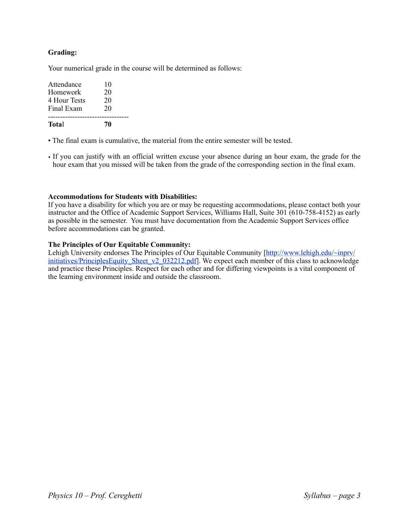# **Grading:**

Your numerical grade in the course will be determined as follows:

| <b>Total</b> | 70 |  |
|--------------|----|--|
| Final Exam   | 20 |  |
| 4 Hour Tests | 20 |  |
| Homework     | 20 |  |
| Attendance   | 10 |  |
|              |    |  |

• The final exam is cumulative, the material from the entire semester will be tested.

• If you can justify with an official written excuse your absence during an hour exam, the grade for the hour exam that you missed will be taken from the grade of the corresponding section in the final exam.

# **Accommodations for Students with Disabilities:**

If you have a disability for which you are or may be requesting accommodations, please contact both your instructor and the Office of Academic Support Services, Williams Hall, Suite 301 (610-758-4152) as early as possible in the semester. You must have documentation from the Academic Support Services office before accommodations can be granted.

# **The Principles of Our Equitable Community:**

Lehigh University endorses The Principles of Our Equitable Community [\[http://www.lehigh.edu/~inprv/](http://www.lehigh.edu/%7Einprv/initiatives/PrinciplesEquity_Sheet_v2_032212.pdf) [initiatives/PrinciplesEquity\\_Sheet\\_v2\\_032212.pdf](http://www.lehigh.edu/%7Einprv/initiatives/PrinciplesEquity_Sheet_v2_032212.pdf)]. We expect each member of this class to acknowledge and practice these Principles. Respect for each other and for differing viewpoints is a vital component of the learning environment inside and outside the classroom.